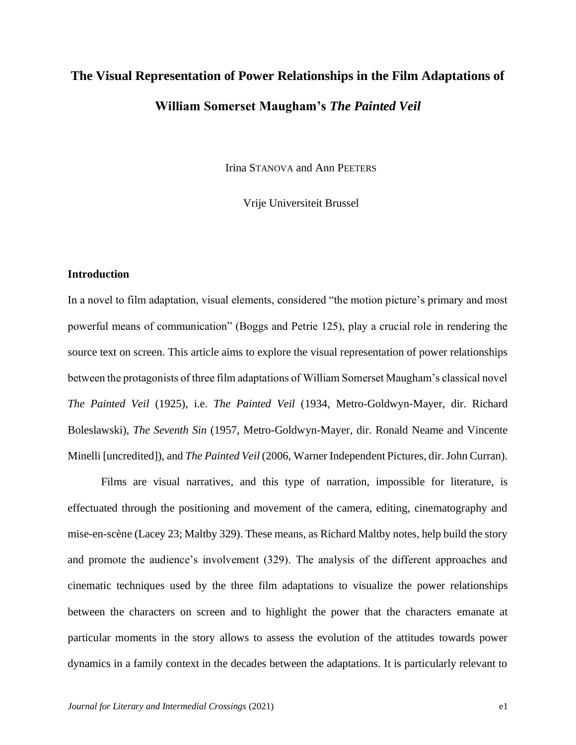# **The Visual Representation of Power Relationships in the Film Adaptations of William Somerset Maugham's** *The Painted Veil*

Irina STANOVA and Ann PEETERS

Vrije Universiteit Brussel

#### **Introduction**

In a novel to film adaptation, visual elements, considered "the motion picture's primary and most powerful means of communication" (Boggs and Petrie 125), play a crucial role in rendering the source text on screen. This article aims to explore the visual representation of power relationships between the protagonists of three film adaptations of William Somerset Maugham's classical novel *The Painted Veil* (1925), i.e. *The Painted Veil* (1934, Metro-Goldwyn-Mayer, dir. Richard Boleslawski), *The Seventh Sin* (1957, Metro-Goldwyn-Mayer, dir. Ronald Neame and Vincente Minelli [uncredited]), and *The Painted Veil* (2006, Warner Independent Pictures, dir. John Curran).

Films are visual narratives, and this type of narration, impossible for literature, is effectuated through the positioning and movement of the camera, editing, cinematography and mise-en-scène (Lacey 23; Maltby 329). These means, as Richard Maltby notes, help build the story and promote the audience's involvement (329). The analysis of the different approaches and cinematic techniques used by the three film adaptations to visualize the power relationships between the characters on screen and to highlight the power that the characters emanate at particular moments in the story allows to assess the evolution of the attitudes towards power dynamics in a family context in the decades between the adaptations. It is particularly relevant to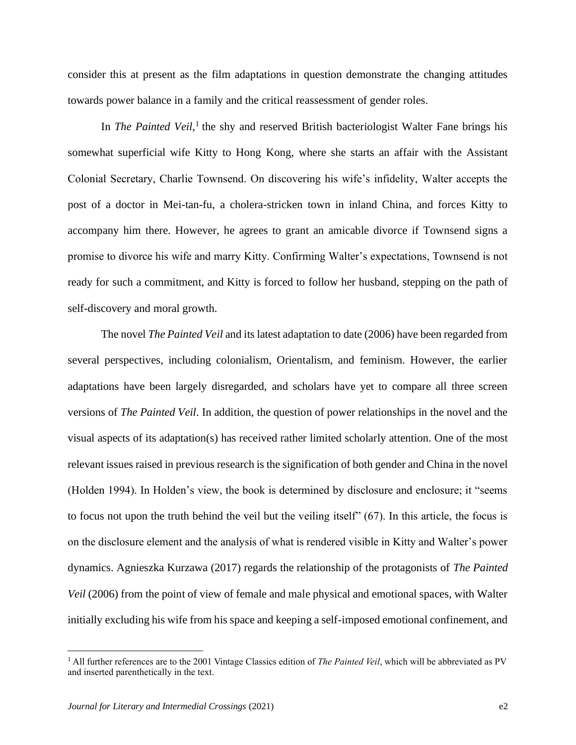consider this at present as the film adaptations in question demonstrate the changing attitudes towards power balance in a family and the critical reassessment of gender roles.

In *The Painted Veil*,<sup>1</sup> the shy and reserved British bacteriologist Walter Fane brings his somewhat superficial wife Kitty to Hong Kong, where she starts an affair with the Assistant Colonial Secretary, Charlie Townsend. On discovering his wife's infidelity, Walter accepts the post of a doctor in Mei-tan-fu, a cholera-stricken town in inland China, and forces Kitty to accompany him there. However, he agrees to grant an amicable divorce if Townsend signs a promise to divorce his wife and marry Kitty. Confirming Walter's expectations, Townsend is not ready for such a commitment, and Kitty is forced to follow her husband, stepping on the path of self-discovery and moral growth.

The novel *The Painted Veil* and its latest adaptation to date (2006) have been regarded from several perspectives, including colonialism, Orientalism, and feminism. However, the earlier adaptations have been largely disregarded, and scholars have yet to compare all three screen versions of *The Painted Veil*. In addition, the question of power relationships in the novel and the visual aspects of its adaptation(s) has received rather limited scholarly attention. One of the most relevant issues raised in previous research is the signification of both gender and China in the novel (Holden 1994). In Holden's view, the book is determined by disclosure and enclosure; it "seems to focus not upon the truth behind the veil but the veiling itself" (67). In this article, the focus is on the disclosure element and the analysis of what is rendered visible in Kitty and Walter's power dynamics. Agnieszka Kurzawa (2017) regards the relationship of the protagonists of *The Painted Veil* (2006) from the point of view of female and male physical and emotional spaces, with Walter initially excluding his wife from his space and keeping a self-imposed emotional confinement, and

<sup>1</sup> All further references are to the 2001 Vintage Classics edition of *The Painted Veil*, which will be abbreviated as PV and inserted parenthetically in the text.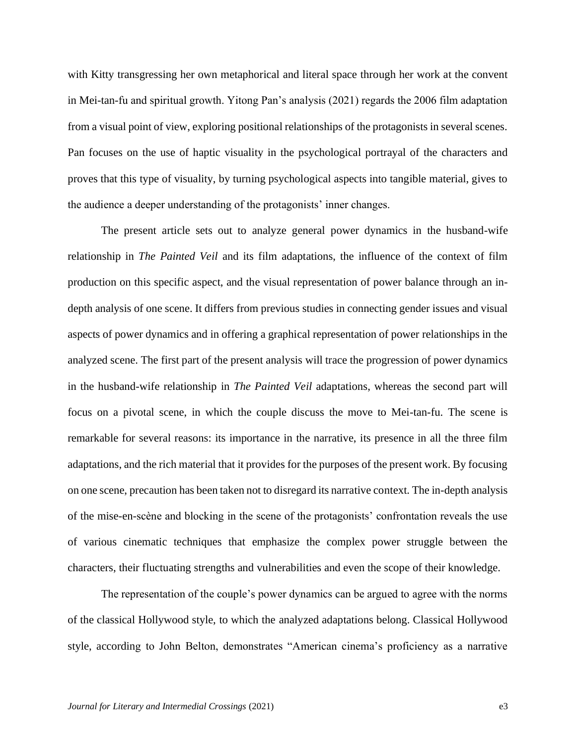with Kitty transgressing her own metaphorical and literal space through her work at the convent in Mei-tan-fu and spiritual growth. Yitong Pan's analysis (2021) regards the 2006 film adaptation from a visual point of view, exploring positional relationships of the protagonists in several scenes. Pan focuses on the use of haptic visuality in the psychological portrayal of the characters and proves that this type of visuality, by turning psychological aspects into tangible material, gives to the audience a deeper understanding of the protagonists' inner changes.

The present article sets out to analyze general power dynamics in the husband-wife relationship in *The Painted Veil* and its film adaptations, the influence of the context of film production on this specific aspect, and the visual representation of power balance through an indepth analysis of one scene. It differs from previous studies in connecting gender issues and visual aspects of power dynamics and in offering a graphical representation of power relationships in the analyzed scene. The first part of the present analysis will trace the progression of power dynamics in the husband-wife relationship in *The Painted Veil* adaptations, whereas the second part will focus on a pivotal scene, in which the couple discuss the move to Mei-tan-fu. The scene is remarkable for several reasons: its importance in the narrative, its presence in all the three film adaptations, and the rich material that it provides for the purposes of the present work. By focusing on one scene, precaution has been taken not to disregard its narrative context. The in-depth analysis of the mise-en-scène and blocking in the scene of the protagonists' confrontation reveals the use of various cinematic techniques that emphasize the complex power struggle between the characters, their fluctuating strengths and vulnerabilities and even the scope of their knowledge.

The representation of the couple's power dynamics can be argued to agree with the norms of the classical Hollywood style, to which the analyzed adaptations belong. Classical Hollywood style, according to John Belton, demonstrates "American cinema's proficiency as a narrative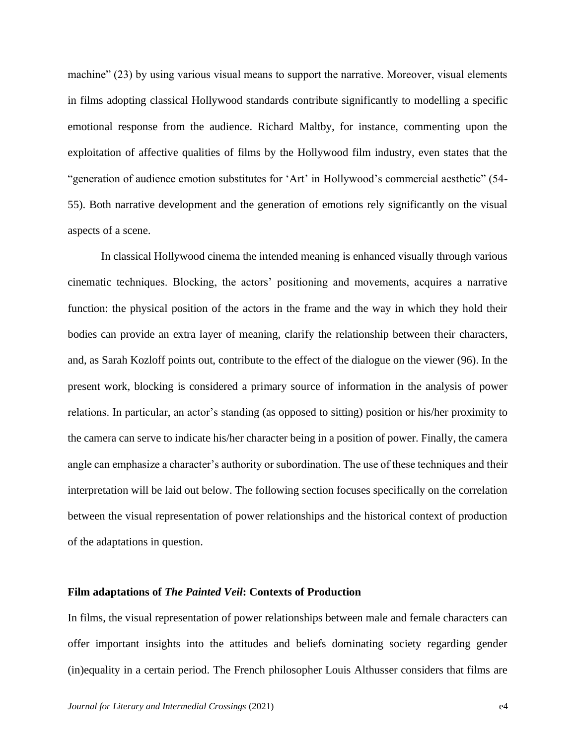machine" (23) by using various visual means to support the narrative. Moreover, visual elements in films adopting classical Hollywood standards contribute significantly to modelling a specific emotional response from the audience. Richard Maltby, for instance, commenting upon the exploitation of affective qualities of films by the Hollywood film industry, even states that the "generation of audience emotion substitutes for 'Art' in Hollywood's commercial aesthetic" (54- 55). Both narrative development and the generation of emotions rely significantly on the visual aspects of a scene.

In classical Hollywood cinema the intended meaning is enhanced visually through various cinematic techniques. Blocking, the actors' positioning and movements, acquires a narrative function: the physical position of the actors in the frame and the way in which they hold their bodies can provide an extra layer of meaning, clarify the relationship between their characters, and, as Sarah Kozloff points out, contribute to the effect of the dialogue on the viewer (96). In the present work, blocking is considered a primary source of information in the analysis of power relations. In particular, an actor's standing (as opposed to sitting) position or his/her proximity to the camera can serve to indicate his/her character being in a position of power. Finally, the camera angle can emphasize a character's authority or subordination. The use of these techniques and their interpretation will be laid out below. The following section focuses specifically on the correlation between the visual representation of power relationships and the historical context of production of the adaptations in question.

#### **Film adaptations of** *The Painted Veil***: Contexts of Production**

In films, the visual representation of power relationships between male and female characters can offer important insights into the attitudes and beliefs dominating society regarding gender (in)equality in a certain period. The French philosopher Louis Althusser considers that films are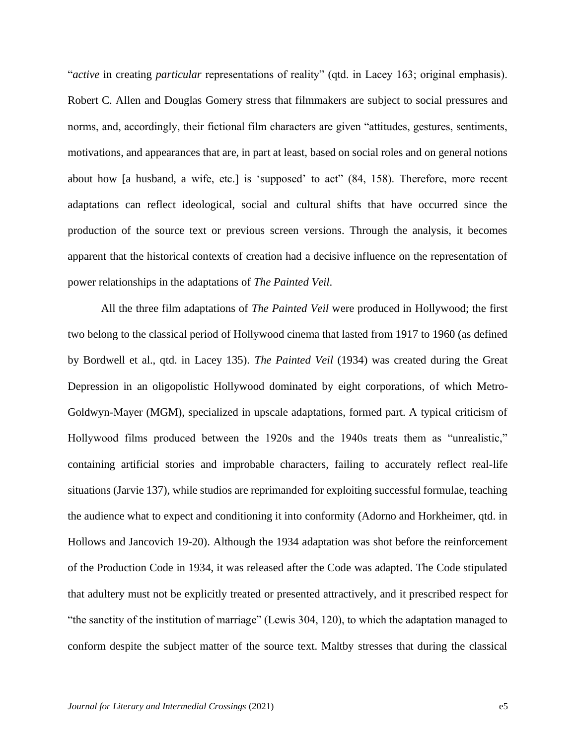"*active* in creating *particular* representations of reality" (qtd. in Lacey 163; original emphasis). Robert C. Allen and Douglas Gomery stress that filmmakers are subject to social pressures and norms, and, accordingly, their fictional film characters are given "attitudes, gestures, sentiments, motivations, and appearances that are, in part at least, based on social roles and on general notions about how [a husband, a wife, etc.] is 'supposed' to act" (84, 158). Therefore, more recent adaptations can reflect ideological, social and cultural shifts that have occurred since the production of the source text or previous screen versions. Through the analysis, it becomes apparent that the historical contexts of creation had a decisive influence on the representation of power relationships in the adaptations of *The Painted Veil*.

All the three film adaptations of *The Painted Veil* were produced in Hollywood; the first two belong to the classical period of Hollywood cinema that lasted from 1917 to 1960 (as defined by Bordwell et al., qtd. in Lacey 135). *The Painted Veil* (1934) was created during the Great Depression in an oligopolistic Hollywood dominated by eight corporations, of which Metro-Goldwyn-Mayer (MGM), specialized in upscale adaptations, formed part. A typical criticism of Hollywood films produced between the 1920s and the 1940s treats them as "unrealistic," containing artificial stories and improbable characters, failing to accurately reflect real-life situations (Jarvie 137), while studios are reprimanded for exploiting successful formulae, teaching the audience what to expect and conditioning it into conformity (Adorno and Horkheimer, qtd. in Hollows and Jancovich 19-20). Although the 1934 adaptation was shot before the reinforcement of the Production Code in 1934, it was released after the Code was adapted. The Code stipulated that adultery must not be explicitly treated or presented attractively, and it prescribed respect for "the sanctity of the institution of marriage" (Lewis 304, 120), to which the adaptation managed to conform despite the subject matter of the source text. Maltby stresses that during the classical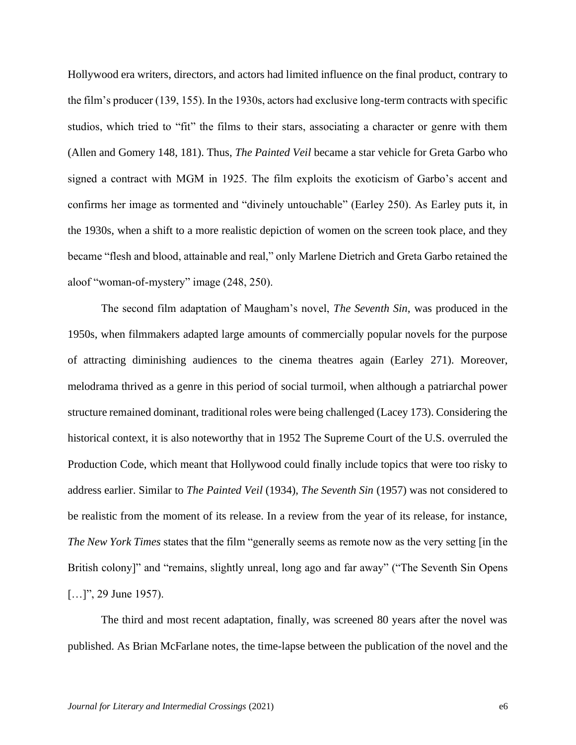Hollywood era writers, directors, and actors had limited influence on the final product, contrary to the film's producer (139, 155). In the 1930s, actors had exclusive long-term contracts with specific studios, which tried to "fit" the films to their stars, associating a character or genre with them (Allen and Gomery 148, 181). Thus, *The Painted Veil* became a star vehicle for Greta Garbo who signed a contract with MGM in 1925. The film exploits the exoticism of Garbo's accent and confirms her image as tormented and "divinely untouchable" (Earley 250). As Earley puts it, in the 1930s, when a shift to a more realistic depiction of women on the screen took place, and they became "flesh and blood, attainable and real," only Marlene Dietrich and Greta Garbo retained the aloof "woman-of-mystery" image (248, 250).

The second film adaptation of Maugham's novel, *The Seventh Sin*, was produced in the 1950s, when filmmakers adapted large amounts of commercially popular novels for the purpose of attracting diminishing audiences to the cinema theatres again (Earley 271). Moreover, melodrama thrived as a genre in this period of social turmoil, when although a patriarchal power structure remained dominant, traditional roles were being challenged (Lacey 173). Considering the historical context, it is also noteworthy that in 1952 The Supreme Court of the U.S. overruled the Production Code, which meant that Hollywood could finally include topics that were too risky to address earlier. Similar to *The Painted Veil* (1934), *The Seventh Sin* (1957) was not considered to be realistic from the moment of its release. In a review from the year of its release, for instance, *The New York Times* states that the film "generally seems as remote now as the very setting [in the British colony]" and "remains, slightly unreal, long ago and far away" ("The Seventh Sin Opens [...]", 29 June 1957).

The third and most recent adaptation, finally, was screened 80 years after the novel was published. As Brian McFarlane notes, the time-lapse between the publication of the novel and the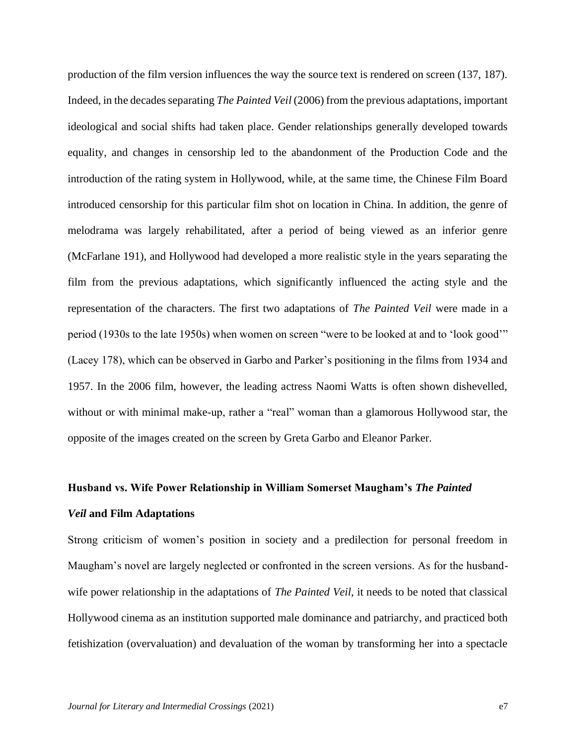production of the film version influences the way the source text is rendered on screen (137, 187). Indeed, in the decades separating *The Painted Veil* (2006) from the previous adaptations, important ideological and social shifts had taken place. Gender relationships generally developed towards equality, and changes in censorship led to the abandonment of the Production Code and the introduction of the rating system in Hollywood, while, at the same time, the Chinese Film Board introduced censorship for this particular film shot on location in China. In addition, the genre of melodrama was largely rehabilitated, after a period of being viewed as an inferior genre (McFarlane 191), and Hollywood had developed a more realistic style in the years separating the film from the previous adaptations, which significantly influenced the acting style and the representation of the characters. The first two adaptations of *The Painted Veil* were made in a period (1930s to the late 1950s) when women on screen "were to be looked at and to 'look good'" (Lacey 178), which can be observed in Garbo and Parker's positioning in the films from 1934 and 1957. In the 2006 film, however, the leading actress Naomi Watts is often shown dishevelled, without or with minimal make-up, rather a "real" woman than a glamorous Hollywood star, the opposite of the images created on the screen by Greta Garbo and Eleanor Parker.

## **Husband vs. Wife Power Relationship in William Somerset Maugham's** *The Painted Veil* **and Film Adaptations**

Strong criticism of women's position in society and a predilection for personal freedom in Maugham's novel are largely neglected or confronted in the screen versions. As for the husbandwife power relationship in the adaptations of *The Painted Veil*, it needs to be noted that classical Hollywood cinema as an institution supported male dominance and patriarchy, and practiced both fetishization (overvaluation) and devaluation of the woman by transforming her into a spectacle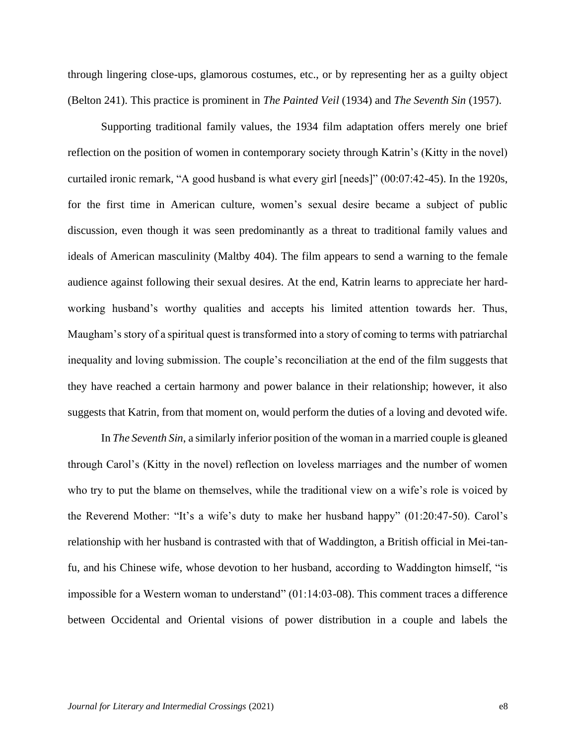through lingering close-ups, glamorous costumes, etc., or by representing her as a guilty object (Belton 241). This practice is prominent in *The Painted Veil* (1934) and *The Seventh Sin* (1957).

Supporting traditional family values, the 1934 film adaptation offers merely one brief reflection on the position of women in contemporary society through Katrin's (Kitty in the novel) curtailed ironic remark, "A good husband is what every girl [needs]" (00:07:42-45). In the 1920s, for the first time in American culture, women's sexual desire became a subject of public discussion, even though it was seen predominantly as a threat to traditional family values and ideals of American masculinity (Maltby 404). The film appears to send a warning to the female audience against following their sexual desires. At the end, Katrin learns to appreciate her hardworking husband's worthy qualities and accepts his limited attention towards her. Thus, Maugham's story of a spiritual quest is transformed into a story of coming to terms with patriarchal inequality and loving submission. The couple's reconciliation at the end of the film suggests that they have reached a certain harmony and power balance in their relationship; however, it also suggests that Katrin, from that moment on, would perform the duties of a loving and devoted wife.

In *The Seventh Sin*, a similarly inferior position of the woman in a married couple is gleaned through Carol's (Kitty in the novel) reflection on loveless marriages and the number of women who try to put the blame on themselves, while the traditional view on a wife's role is voiced by the Reverend Mother: "It's a wife's duty to make her husband happy" (01:20:47-50). Carol's relationship with her husband is contrasted with that of Waddington, a British official in Mei-tanfu, and his Chinese wife, whose devotion to her husband, according to Waddington himself, "is impossible for a Western woman to understand" (01:14:03-08). This comment traces a difference between Occidental and Oriental visions of power distribution in a couple and labels the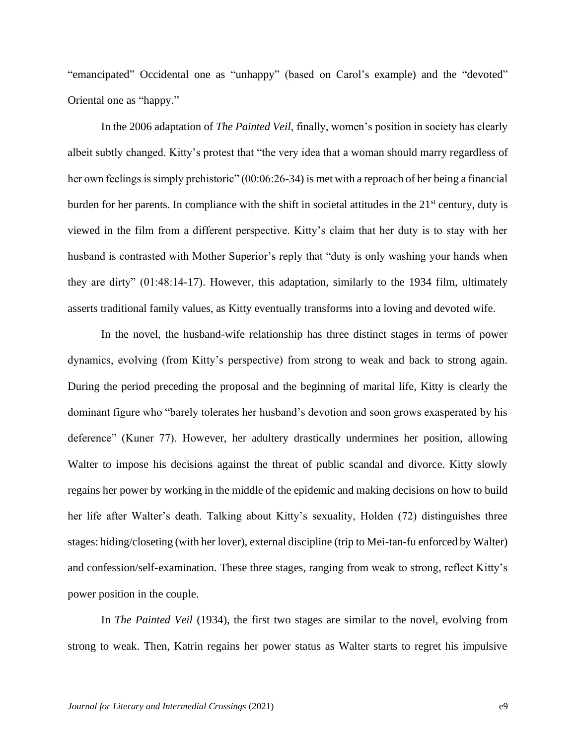"emancipated" Occidental one as "unhappy" (based on Carol's example) and the "devoted" Oriental one as "happy."

In the 2006 adaptation of *The Painted Veil*, finally, women's position in society has clearly albeit subtly changed. Kitty's protest that "the very idea that a woman should marry regardless of her own feelings is simply prehistoric" (00:06:26-34) is met with a reproach of her being a financial burden for her parents. In compliance with the shift in societal attitudes in the  $21<sup>st</sup>$  century, duty is viewed in the film from a different perspective. Kitty's claim that her duty is to stay with her husband is contrasted with Mother Superior's reply that "duty is only washing your hands when they are dirty" (01:48:14-17). However, this adaptation, similarly to the 1934 film, ultimately asserts traditional family values, as Kitty eventually transforms into a loving and devoted wife.

In the novel, the husband-wife relationship has three distinct stages in terms of power dynamics, evolving (from Kitty's perspective) from strong to weak and back to strong again. During the period preceding the proposal and the beginning of marital life, Kitty is clearly the dominant figure who "barely tolerates her husband's devotion and soon grows exasperated by his deference" (Kuner 77). However, her adultery drastically undermines her position, allowing Walter to impose his decisions against the threat of public scandal and divorce. Kitty slowly regains her power by working in the middle of the epidemic and making decisions on how to build her life after Walter's death. Talking about Kitty's sexuality, Holden (72) distinguishes three stages: hiding/closeting (with her lover), external discipline (trip to Mei-tan-fu enforced by Walter) and confession/self-examination. These three stages, ranging from weak to strong, reflect Kitty's power position in the couple.

In *The Painted Veil* (1934), the first two stages are similar to the novel, evolving from strong to weak. Then, Katrin regains her power status as Walter starts to regret his impulsive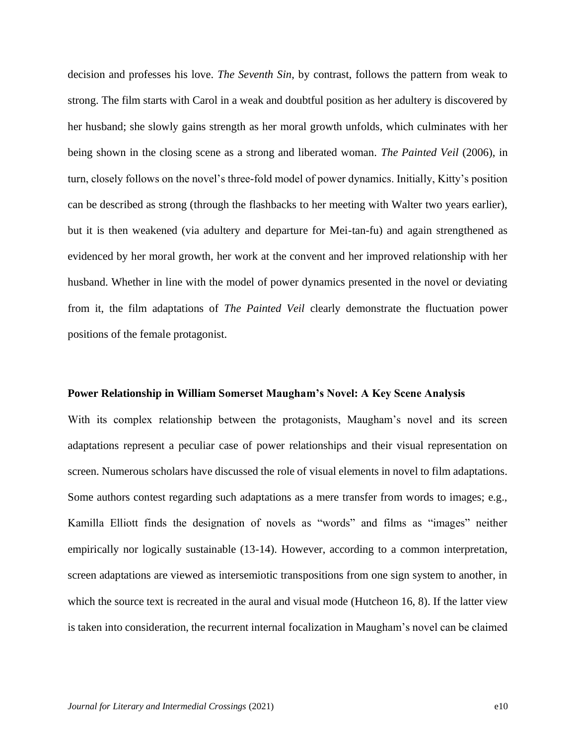decision and professes his love. *The Seventh Sin*, by contrast, follows the pattern from weak to strong. The film starts with Carol in a weak and doubtful position as her adultery is discovered by her husband; she slowly gains strength as her moral growth unfolds, which culminates with her being shown in the closing scene as a strong and liberated woman. *The Painted Veil* (2006), in turn, closely follows on the novel's three-fold model of power dynamics. Initially, Kitty's position can be described as strong (through the flashbacks to her meeting with Walter two years earlier), but it is then weakened (via adultery and departure for Mei-tan-fu) and again strengthened as evidenced by her moral growth, her work at the convent and her improved relationship with her husband. Whether in line with the model of power dynamics presented in the novel or deviating from it, the film adaptations of *The Painted Veil* clearly demonstrate the fluctuation power positions of the female protagonist.

#### **Power Relationship in William Somerset Maugham's Novel: A Key Scene Analysis**

With its complex relationship between the protagonists, Maugham's novel and its screen adaptations represent a peculiar case of power relationships and their visual representation on screen. Numerous scholars have discussed the role of visual elements in novel to film adaptations. Some authors contest regarding such adaptations as a mere transfer from words to images; e.g., Kamilla Elliott finds the designation of novels as "words" and films as "images" neither empirically nor logically sustainable (13-14). However, according to a common interpretation, screen adaptations are viewed as intersemiotic transpositions from one sign system to another, in which the source text is recreated in the aural and visual mode (Hutcheon 16, 8). If the latter view is taken into consideration, the recurrent internal focalization in Maugham's novel can be claimed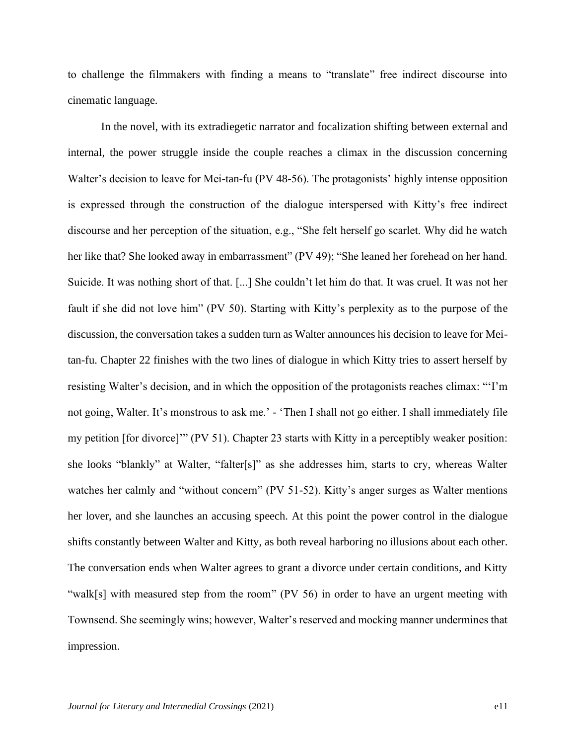to challenge the filmmakers with finding a means to "translate" free indirect discourse into cinematic language.

In the novel, with its extradiegetic narrator and focalization shifting between external and internal, the power struggle inside the couple reaches a climax in the discussion concerning Walter's decision to leave for Mei-tan-fu (PV 48-56). The protagonists' highly intense opposition is expressed through the construction of the dialogue interspersed with Kitty's free indirect discourse and her perception of the situation, e.g., "She felt herself go scarlet. Why did he watch her like that? She looked away in embarrassment" (PV 49); "She leaned her forehead on her hand. Suicide. It was nothing short of that. [...] She couldn't let him do that. It was cruel. It was not her fault if she did not love him" (PV 50). Starting with Kitty's perplexity as to the purpose of the discussion, the conversation takes a sudden turn as Walter announces his decision to leave for Meitan-fu. Chapter 22 finishes with the two lines of dialogue in which Kitty tries to assert herself by resisting Walter's decision, and in which the opposition of the protagonists reaches climax: "'I'm not going, Walter. It's monstrous to ask me.' - 'Then I shall not go either. I shall immediately file my petition [for divorce]'" (PV 51). Chapter 23 starts with Kitty in a perceptibly weaker position: she looks "blankly" at Walter, "falter[s]" as she addresses him, starts to cry, whereas Walter watches her calmly and "without concern" (PV 51-52). Kitty's anger surges as Walter mentions her lover, and she launches an accusing speech. At this point the power control in the dialogue shifts constantly between Walter and Kitty, as both reveal harboring no illusions about each other. The conversation ends when Walter agrees to grant a divorce under certain conditions, and Kitty "walk[s] with measured step from the room" (PV 56) in order to have an urgent meeting with Townsend. She seemingly wins; however, Walter's reserved and mocking manner undermines that impression.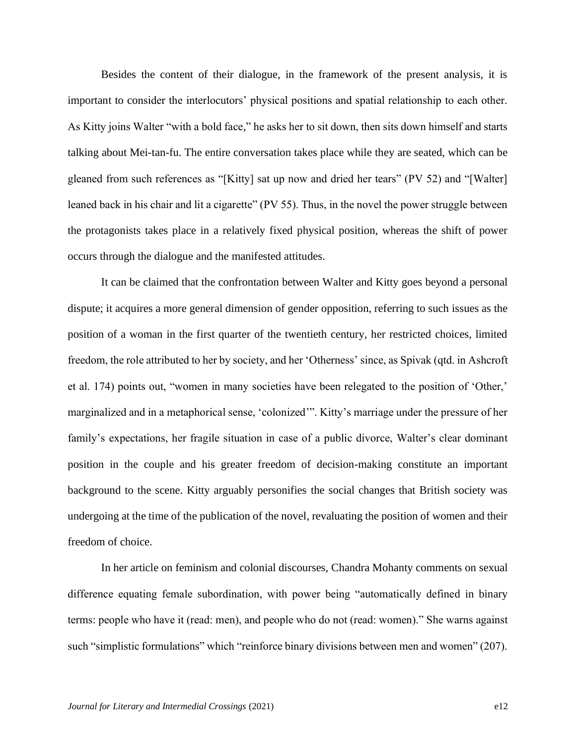Besides the content of their dialogue, in the framework of the present analysis, it is important to consider the interlocutors' physical positions and spatial relationship to each other. As Kitty joins Walter "with a bold face," he asks her to sit down, then sits down himself and starts talking about Mei-tan-fu. The entire conversation takes place while they are seated, which can be gleaned from such references as "[Kitty] sat up now and dried her tears" (PV 52) and "[Walter] leaned back in his chair and lit a cigarette" (PV 55). Thus, in the novel the power struggle between the protagonists takes place in a relatively fixed physical position, whereas the shift of power occurs through the dialogue and the manifested attitudes.

It can be claimed that the confrontation between Walter and Kitty goes beyond a personal dispute; it acquires a more general dimension of gender opposition, referring to such issues as the position of a woman in the first quarter of the twentieth century, her restricted choices, limited freedom, the role attributed to her by society, and her 'Otherness' since, as Spivak (qtd. in Ashcroft et al. 174) points out, "women in many societies have been relegated to the position of 'Other,' marginalized and in a metaphorical sense, 'colonized'". Kitty's marriage under the pressure of her family's expectations, her fragile situation in case of a public divorce, Walter's clear dominant position in the couple and his greater freedom of decision-making constitute an important background to the scene. Kitty arguably personifies the social changes that British society was undergoing at the time of the publication of the novel, revaluating the position of women and their freedom of choice.

In her article on feminism and colonial discourses, Chandra Mohanty comments on sexual difference equating female subordination, with power being "automatically defined in binary terms: people who have it (read: men), and people who do not (read: women)." She warns against such "simplistic formulations" which "reinforce binary divisions between men and women" (207).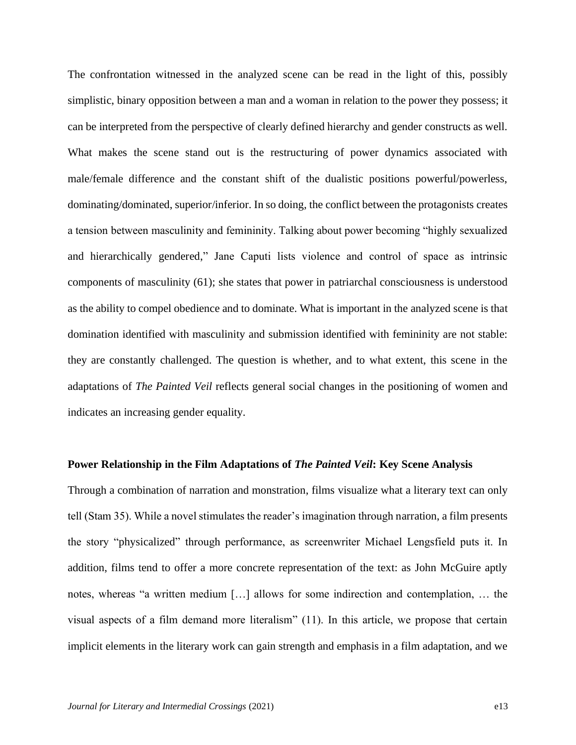The confrontation witnessed in the analyzed scene can be read in the light of this, possibly simplistic, binary opposition between a man and a woman in relation to the power they possess; it can be interpreted from the perspective of clearly defined hierarchy and gender constructs as well. What makes the scene stand out is the restructuring of power dynamics associated with male/female difference and the constant shift of the dualistic positions powerful/powerless, dominating/dominated, superior/inferior. In so doing, the conflict between the protagonists creates a tension between masculinity and femininity. Talking about power becoming "highly sexualized and hierarchically gendered," Jane Caputi lists violence and control of space as intrinsic components of masculinity (61); she states that power in patriarchal consciousness is understood as the ability to compel obedience and to dominate. What is important in the analyzed scene is that domination identified with masculinity and submission identified with femininity are not stable: they are constantly challenged. The question is whether, and to what extent, this scene in the adaptations of *The Painted Veil* reflects general social changes in the positioning of women and indicates an increasing gender equality.

#### **Power Relationship in the Film Adaptations of** *The Painted Veil***: Key Scene Analysis**

Through a combination of narration and monstration, films visualize what a literary text can only tell (Stam 35). While a novel stimulates the reader's imagination through narration, a film presents the story "physicalized" through performance, as screenwriter Michael Lengsfield puts it. In addition, films tend to offer a more concrete representation of the text: as John McGuire aptly notes, whereas "a written medium […] allows for some indirection and contemplation, … the visual aspects of a film demand more literalism" (11). In this article, we propose that certain implicit elements in the literary work can gain strength and emphasis in a film adaptation, and we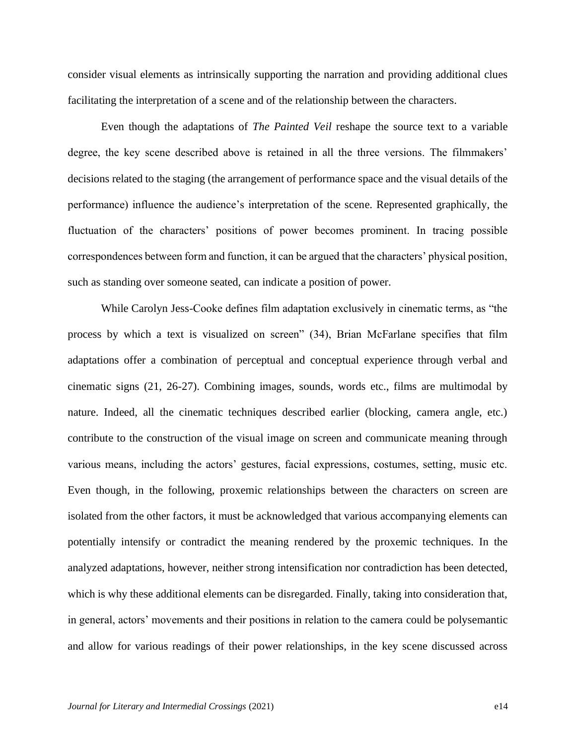consider visual elements as intrinsically supporting the narration and providing additional clues facilitating the interpretation of a scene and of the relationship between the characters.

Even though the adaptations of *The Painted Veil* reshape the source text to a variable degree, the key scene described above is retained in all the three versions. The filmmakers' decisions related to the staging (the arrangement of performance space and the visual details of the performance) influence the audience's interpretation of the scene. Represented graphically, the fluctuation of the characters' positions of power becomes prominent. In tracing possible correspondences between form and function, it can be argued that the characters' physical position, such as standing over someone seated, can indicate a position of power.

While Carolyn Jess-Cooke defines film adaptation exclusively in cinematic terms, as "the process by which a text is visualized on screen" (34), Brian McFarlane specifies that film adaptations offer a combination of perceptual and conceptual experience through verbal and cinematic signs (21, 26-27). Combining images, sounds, words etc., films are multimodal by nature. Indeed, all the cinematic techniques described earlier (blocking, camera angle, etc.) contribute to the construction of the visual image on screen and communicate meaning through various means, including the actors' gestures, facial expressions, costumes, setting, music etc. Even though, in the following, proxemic relationships between the characters on screen are isolated from the other factors, it must be acknowledged that various accompanying elements can potentially intensify or contradict the meaning rendered by the proxemic techniques. In the analyzed adaptations, however, neither strong intensification nor contradiction has been detected, which is why these additional elements can be disregarded. Finally, taking into consideration that, in general, actors' movements and their positions in relation to the camera could be polysemantic and allow for various readings of their power relationships, in the key scene discussed across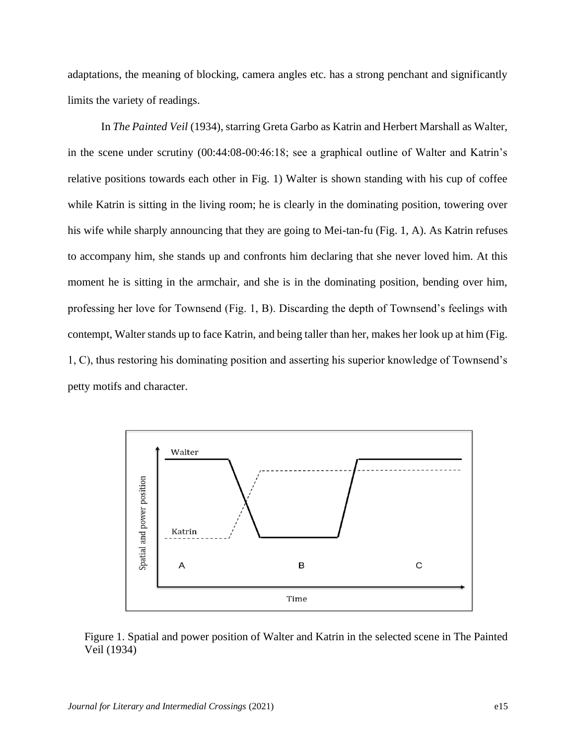adaptations, the meaning of blocking, camera angles etc. has a strong penchant and significantly limits the variety of readings.

In *The Painted Veil* (1934), starring Greta Garbo as Katrin and Herbert Marshall as Walter, in the scene under scrutiny (00:44:08-00:46:18; see a graphical outline of Walter and Katrin's relative positions towards each other in Fig. 1) Walter is shown standing with his cup of coffee while Katrin is sitting in the living room; he is clearly in the dominating position, towering over his wife while sharply announcing that they are going to Mei-tan-fu (Fig. 1, A). As Katrin refuses to accompany him, she stands up and confronts him declaring that she never loved him. At this moment he is sitting in the armchair, and she is in the dominating position, bending over him, professing her love for Townsend (Fig. 1, B). Discarding the depth of Townsend's feelings with contempt, Walter stands up to face Katrin, and being taller than her, makes her look up at him (Fig. 1, C), thus restoring his dominating position and asserting his superior knowledge of Townsend's petty motifs and character.



Figure 1. Spatial and power position of Walter and Katrin in the selected scene in The Painted Veil (1934)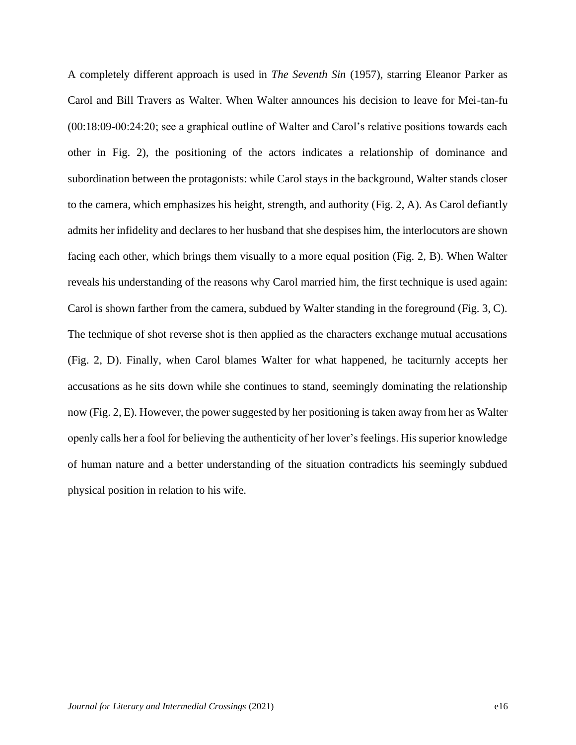A completely different approach is used in *The Seventh Sin* (1957), starring Eleanor Parker as Carol and Bill Travers as Walter. When Walter announces his decision to leave for Mei-tan-fu (00:18:09-00:24:20; see a graphical outline of Walter and Carol's relative positions towards each other in Fig. 2), the positioning of the actors indicates a relationship of dominance and subordination between the protagonists: while Carol stays in the background, Walter stands closer to the camera, which emphasizes his height, strength, and authority (Fig. 2, A). As Carol defiantly admits her infidelity and declares to her husband that she despises him, the interlocutors are shown facing each other, which brings them visually to a more equal position (Fig. 2, B). When Walter reveals his understanding of the reasons why Carol married him, the first technique is used again: Carol is shown farther from the camera, subdued by Walter standing in the foreground (Fig. 3, C). The technique of shot reverse shot is then applied as the characters exchange mutual accusations (Fig. 2, D). Finally, when Carol blames Walter for what happened, he taciturnly accepts her accusations as he sits down while she continues to stand, seemingly dominating the relationship now (Fig. 2, E). However, the power suggested by her positioning is taken away from her as Walter openly calls her a fool for believing the authenticity of her lover's feelings. His superior knowledge of human nature and a better understanding of the situation contradicts his seemingly subdued physical position in relation to his wife.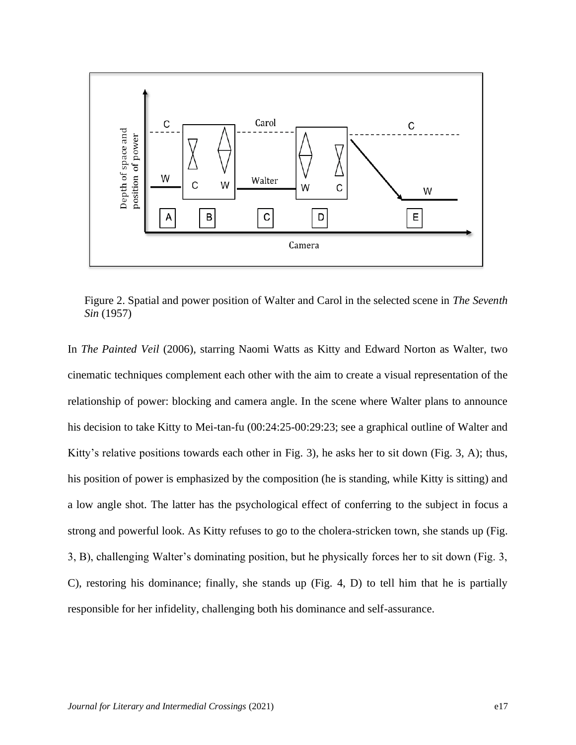

Figure 2. Spatial and power position of Walter and Carol in the selected scene in *The Seventh Sin* (1957)

In *The Painted Veil* (2006), starring Naomi Watts as Kitty and Edward Norton as Walter, two cinematic techniques complement each other with the aim to create a visual representation of the relationship of power: blocking and camera angle. In the scene where Walter plans to announce his decision to take Kitty to Mei-tan-fu (00:24:25-00:29:23; see a graphical outline of Walter and Kitty's relative positions towards each other in Fig. 3), he asks her to sit down (Fig. 3, A); thus, his position of power is emphasized by the composition (he is standing, while Kitty is sitting) and a low angle shot. The latter has the psychological effect of conferring to the subject in focus a strong and powerful look. As Kitty refuses to go to the cholera-stricken town, she stands up (Fig. 3, B), challenging Walter's dominating position, but he physically forces her to sit down (Fig. 3, C), restoring his dominance; finally, she stands up (Fig. 4, D) to tell him that he is partially responsible for her infidelity, challenging both his dominance and self-assurance.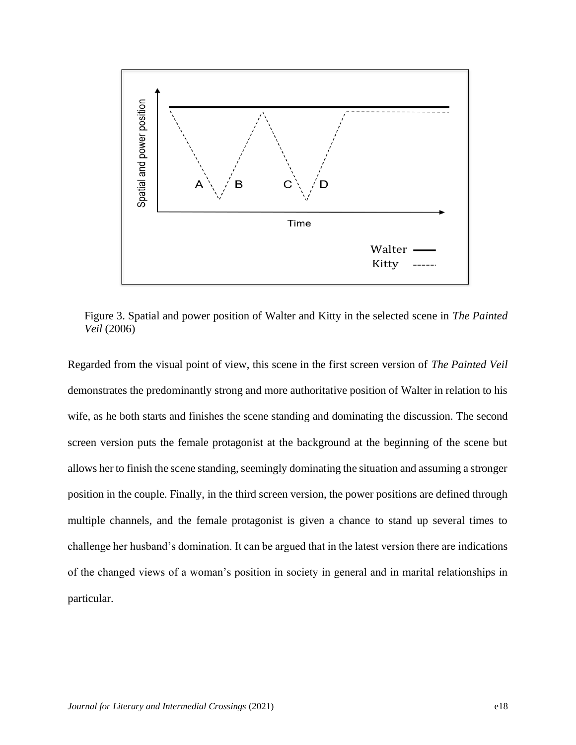

Figure 3. Spatial and power position of Walter and Kitty in the selected scene in *The Painted Veil* (2006)

Regarded from the visual point of view, this scene in the first screen version of *The Painted Veil* demonstrates the predominantly strong and more authoritative position of Walter in relation to his wife, as he both starts and finishes the scene standing and dominating the discussion. The second screen version puts the female protagonist at the background at the beginning of the scene but allows her to finish the scene standing, seemingly dominating the situation and assuming a stronger position in the couple. Finally, in the third screen version, the power positions are defined through multiple channels, and the female protagonist is given a chance to stand up several times to challenge her husband's domination. It can be argued that in the latest version there are indications of the changed views of a woman's position in society in general and in marital relationships in particular.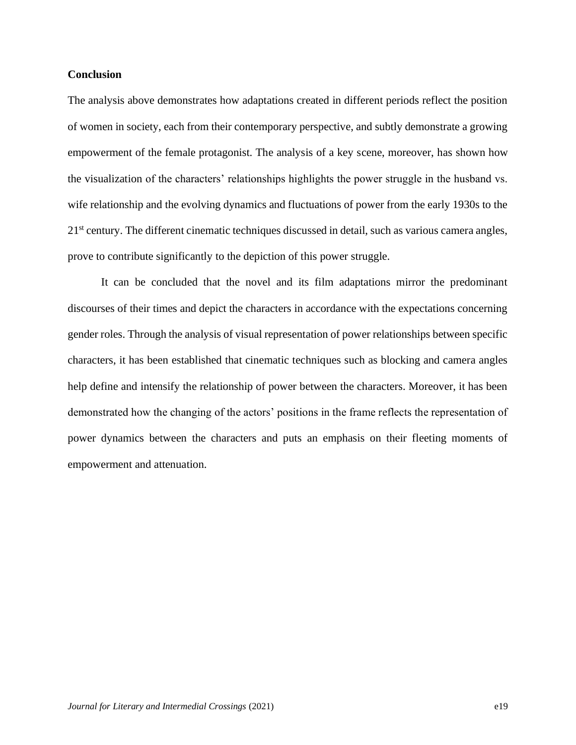#### **Conclusion**

The analysis above demonstrates how adaptations created in different periods reflect the position of women in society, each from their contemporary perspective, and subtly demonstrate a growing empowerment of the female protagonist. The analysis of a key scene, moreover, has shown how the visualization of the characters' relationships highlights the power struggle in the husband vs. wife relationship and the evolving dynamics and fluctuations of power from the early 1930s to the 21st century. The different cinematic techniques discussed in detail, such as various camera angles, prove to contribute significantly to the depiction of this power struggle.

It can be concluded that the novel and its film adaptations mirror the predominant discourses of their times and depict the characters in accordance with the expectations concerning gender roles. Through the analysis of visual representation of power relationships between specific characters, it has been established that cinematic techniques such as blocking and camera angles help define and intensify the relationship of power between the characters. Moreover, it has been demonstrated how the changing of the actors' positions in the frame reflects the representation of power dynamics between the characters and puts an emphasis on their fleeting moments of empowerment and attenuation.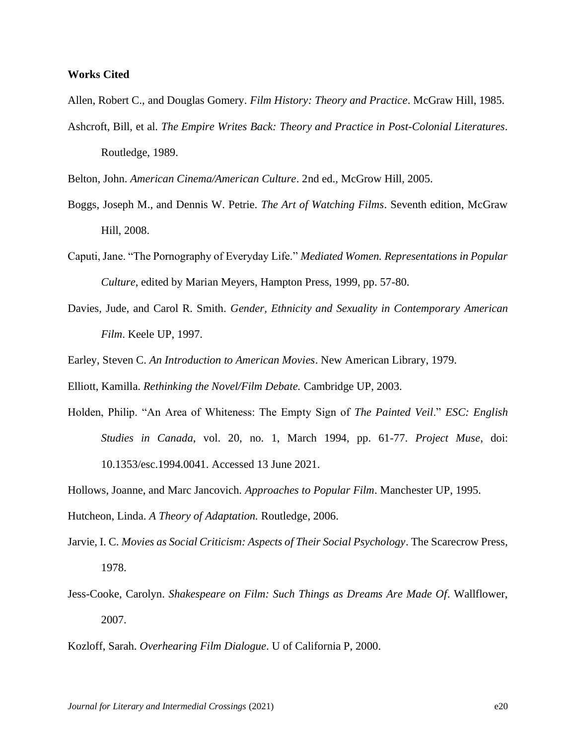#### **Works Cited**

Allen, Robert C., and Douglas Gomery. *Film History: Theory and Practice*. McGraw Hill, 1985.

Ashcroft, Bill, et al. *The Empire Writes Back: Theory and Practice in Post-Colonial Literatures*. Routledge, 1989.

Belton, John. *American Cinema/American Culture*. 2nd ed., McGrow Hill, 2005.

- Boggs, Joseph M., and Dennis W. Petrie. *The Art of Watching Films*. Seventh edition, McGraw Hill, 2008.
- Caputi, Jane. "The Pornography of Everyday Life." *Mediated Women. Representations in Popular Culture*, edited by Marian Meyers, Hampton Press, 1999, pp. 57-80.
- Davies, Jude, and Carol R. Smith. *Gender, Ethnicity and Sexuality in Contemporary American Film*. Keele UP, 1997.
- Earley, Steven C. *An Introduction to American Movies*. New American Library, 1979.

Elliott, Kamilla. *Rethinking the Novel/Film Debate.* Cambridge UP, 2003.

- Holden, Philip. "An Area of Whiteness: The Empty Sign of *The Painted Veil*." *ESC: English Studies in Canada*, vol. 20, no. 1, March 1994, pp. 61-77. *Project Muse*, doi: [10.1353/esc.1994.0041.](https://doi.org/10.1353/esc.1994.0041) Accessed 13 June 2021.
- Hollows, Joanne, and Marc Jancovich. *Approaches to Popular Film*. Manchester UP, 1995.

Hutcheon, Linda. *A Theory of Adaptation.* Routledge, 2006.

- Jarvie, I. C. *Movies as Social Criticism: Aspects of Their Social Psychology*. The Scarecrow Press, 1978.
- Jess-Cooke, Carolyn. *Shakespeare on Film: Such Things as Dreams Are Made Of*. Wallflower, 2007.

Kozloff, Sarah. *Overhearing Film Dialogue*. U of California P, 2000.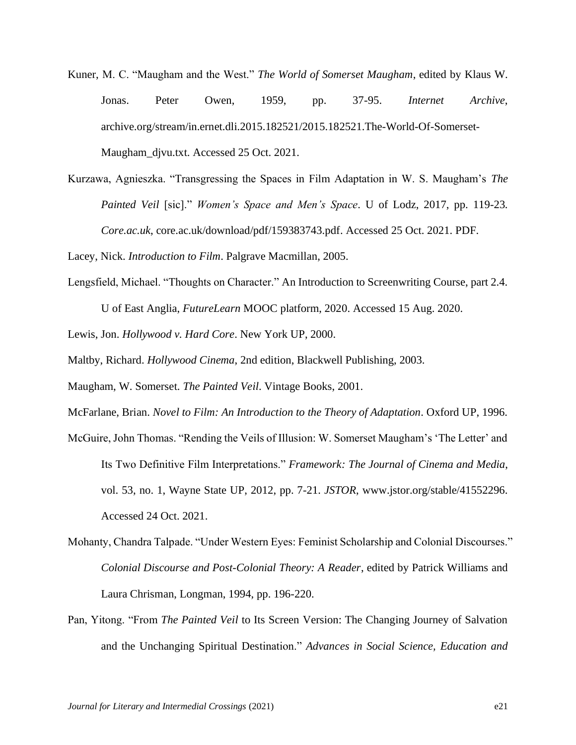- Kuner, M. C. "Maugham and the West." *The World of Somerset Maugham*, edited by Klaus W. Jonas. Peter Owen, 1959, pp. 37-95. *Internet Archive*, archive.org/stream/in.ernet.dli.2015.182521/2015.182521.The-World-Of-Somerset-Maugham\_djvu.txt. Accessed 25 Oct. 2021.
- Kurzawa, Agnieszka. "Transgressing the Spaces in Film Adaptation in W. S. Maugham's *The Painted Veil* [sic]." *Women's Space and Men's Space*. U of Lodz, 2017, pp. 119-23. *Core.ac.uk*, core.ac.uk/download/pdf/159383743.pdf. Accessed 25 Oct. 2021. PDF.

Lacey, Nick. *Introduction to Film*. Palgrave Macmillan, 2005.

Lengsfield, Michael. "Thoughts on Character." An Introduction to Screenwriting Course, part 2.4.

U of East Anglia, *FutureLearn* MOOC platform, 2020. Accessed 15 Aug. 2020.

Lewis, Jon. *Hollywood v. Hard Core*. New York UP, 2000.

Maltby, Richard. *Hollywood Cinema*, 2nd edition, Blackwell Publishing, 2003.

Maugham, W. Somerset. *The Painted Veil*. Vintage Books, 2001.

- McFarlane, Brian. *Novel to Film: An Introduction to the Theory of Adaptation*. Oxford UP, 1996.
- McGuire, John Thomas. "Rending the Veils of Illusion: W. Somerset Maugham's 'The Letter' and Its Two Definitive Film Interpretations." *Framework: The Journal of Cinema and Media*, vol. 53, no. 1, Wayne State UP, 2012, pp. 7-21. *JSTOR*, [www.jstor.org/stable/41552296.](http://www.jstor.org/stable/41552296) Accessed 24 Oct. 2021.
- Mohanty, Chandra Talpade. "Under Western Eyes: Feminist Scholarship and Colonial Discourses." *Colonial Discourse and Post-Colonial Theory: A Reader*, edited by Patrick Williams and Laura Chrisman, Longman, 1994, pp. 196-220.
- Pan, Yitong. "From *The Painted Veil* to Its Screen Version: The Changing Journey of Salvation and the Unchanging Spiritual Destination." *Advances in Social Science, Education and*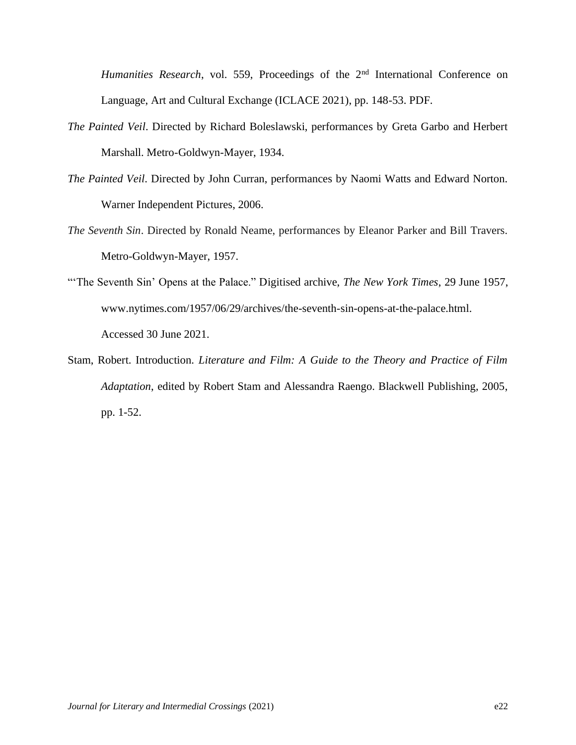*Humanities Research*, vol. 559, Proceedings of the 2<sup>nd</sup> International Conference on Language, Art and Cultural Exchange (ICLACE 2021), pp. 148-53. PDF.

- *The Painted Veil*. Directed by Richard Boleslawski, performances by Greta Garbo and Herbert Marshall. Metro-Goldwyn-Mayer, 1934.
- *The Painted Veil*. Directed by John Curran, performances by Naomi Watts and Edward Norton. Warner Independent Pictures, 2006.
- *The Seventh Sin*. Directed by Ronald Neame, performances by Eleanor Parker and Bill Travers. Metro-Goldwyn-Mayer, 1957.
- "'The Seventh Sin' Opens at the Palace." Digitised archive, *The New York Times*, 29 June 1957, [www.nytimes.com/1957/06/29/archives/the-seventh-sin-opens-at-the-palace.html.](http://www.nytimes.com/1957/06/29/archives/the-seventh-sin-opens-at-the-palace.html) Accessed 30 June 2021.
- Stam, Robert. Introduction. *Literature and Film: A Guide to the Theory and Practice of Film Adaptation*, edited by Robert Stam and Alessandra Raengo. Blackwell Publishing, 2005, pp. 1-52.